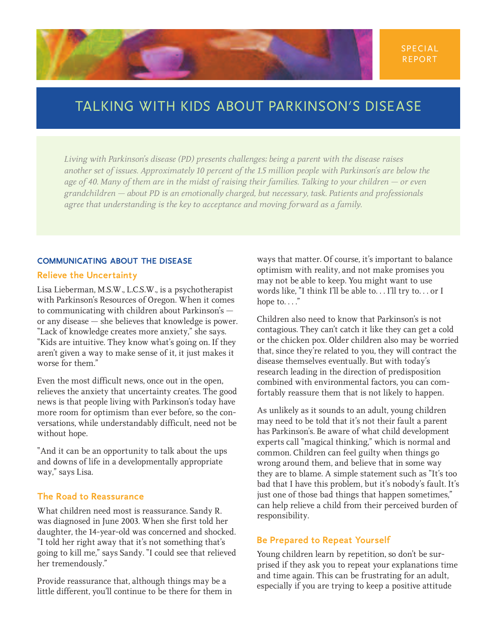# TALKING WITH KIDS ABOUT PARKINSON'S DISEASE

*Living with Parkinson's disease (PD) presents challenges; being a parent with the disease raises another set of issues. Approximately 10 percent of the 1.5 million people with Parkinson's are below the age of 40. Many of them are in the midst of raising their families. Talking to your children — or even grandchildren — about PD is an emotionally charged, but necessary, task. Patients and professionals agree that understanding is the key to acceptance and moving forward as a family.* 

#### **COMMUNICATING ABOUT THE DISEASE**

#### **Relieve the Uncertainty**

Lisa Lieberman, M.S.W., L.C.S.W., is a psychotherapist with Parkinson's Resources of Oregon. When it comes to communicating with children about Parkinson's or any disease — she believes that knowledge is power. "Lack of knowledge creates more anxiety," she says. "Kids are intuitive. They know what's going on. If they aren't given a way to make sense of it, it just makes it worse for them."

Even the most difficult news, once out in the open, relieves the anxiety that uncertainty creates. The good news is that people living with Parkinson's today have more room for optimism than ever before, so the conversations, while understandably difficult, need not be without hope.

"And it can be an opportunity to talk about the ups and downs of life in a developmentally appropriate way," says Lisa.

### **The Road to Reassurance**

What children need most is reassurance. Sandy R. was diagnosed in June 2003. When she first told her daughter, the 14-year-old was concerned and shocked. "I told her right away that it's not something that's going to kill me," says Sandy. "I could see that relieved her tremendously."

Provide reassurance that, although things may be a little different, you'll continue to be there for them in

ways that matter. Of course, it's important to balance optimism with reality, and not make promises you may not be able to keep. You might want to use words like, "I think I'll be able to. . . I'll try to. . . or I hope to...."

Children also need to know that Parkinson's is not contagious. They can't catch it like they can get a cold or the chicken pox. Older children also may be worried that, since they're related to you, they will contract the disease themselves eventually. But with today's research leading in the direction of predisposition combined with environmental factors, you can comfortably reassure them that is not likely to happen.

As unlikely as it sounds to an adult, young children may need to be told that it's not their fault a parent has Parkinson's. Be aware of what child development experts call "magical thinking," which is normal and common. Children can feel guilty when things go wrong around them, and believe that in some way they are to blame. A simple statement such as "It's too bad that I have this problem, but it's nobody's fault. It's just one of those bad things that happen sometimes," can help relieve a child from their perceived burden of responsibility.

### **Be Prepared to Repeat Yourself**

Young children learn by repetition, so don't be surprised if they ask you to repeat your explanations time and time again. This can be frustrating for an adult, especially if you are trying to keep a positive attitude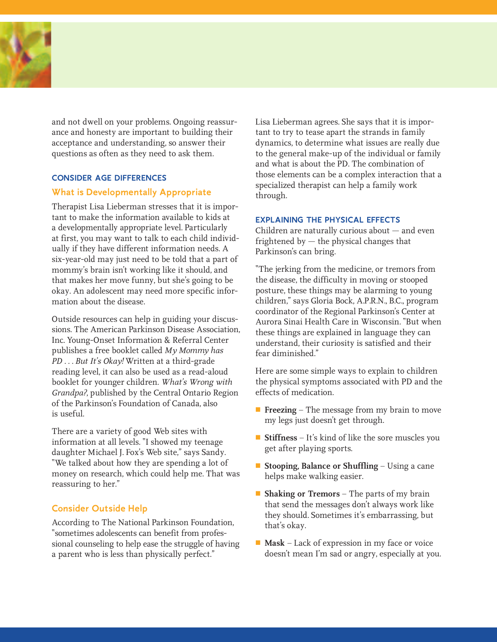

and not dwell on your problems. Ongoing reassurance and honesty are important to building their acceptance and understanding, so answer their questions as often as they need to ask them.

#### **CONSIDER AGE DIFFERENCES**

### **What is Developmentally Appropriate**

Therapist Lisa Lieberman stresses that it is important to make the information available to kids at a developmentally appropriate level. Particularly at first, you may want to talk to each child individually if they have different information needs. A six-year-old may just need to be told that a part of mommy's brain isn't working like it should, and that makes her move funny, but she's going to be okay. An adolescent may need more specific information about the disease.

Outside resources can help in guiding your discussions. The American Parkinson Disease Association, Inc. Young-Onset Information & Referral Center publishes a free booklet called *My Mommy has PD . . . But It's Okay!* Written at a third-grade reading level, it can also be used as a read-aloud booklet for younger children. *What's Wrong with Grandpa?*, published by the Central Ontario Region of the Parkinson's Foundation of Canada, also is useful.

There are a variety of good Web sites with information at all levels. "I showed my teenage daughter Michael J. Fox's Web site," says Sandy. "We talked about how they are spending a lot of money on research, which could help me. That was reassuring to her."

# **Consider Outside Help**

According to The National Parkinson Foundation, "sometimes adolescents can benefit from professional counseling to help ease the struggle of having a parent who is less than physically perfect."

Lisa Lieberman agrees. She says that it is important to try to tease apart the strands in family dynamics, to determine what issues are really due to the general make-up of the individual or family and what is about the PD. The combination of those elements can be a complex interaction that a specialized therapist can help a family work through.

#### **EXPLAINING THE PHYSICAL EFFECTS**

Children are naturally curious about — and even frightened by  $-$  the physical changes that Parkinson's can bring.

"The jerking from the medicine, or tremors from the disease, the difficulty in moving or stooped posture, these things may be alarming to young children," says Gloria Bock, A.P.R.N., B.C., program coordinator of the Regional Parkinson's Center at Aurora Sinai Health Care in Wisconsin. "But when these things are explained in language they can understand, their curiosity is satisfied and their fear diminished."

Here are some simple ways to explain to children the physical symptoms associated with PD and the effects of medication.

- **Freezing** The message from my brain to move my legs just doesn't get through.
- **Stiffness** It's kind of like the sore muscles you get after playing sports.
- **Stooping, Balance or Shuffling** Using a cane helps make walking easier.
- **Shaking or Tremors** The parts of my brain that send the messages don't always work like they should. Sometimes it's embarrassing, but that's okay.
- **Mask** Lack of expression in my face or voice doesn't mean I'm sad or angry, especially at you.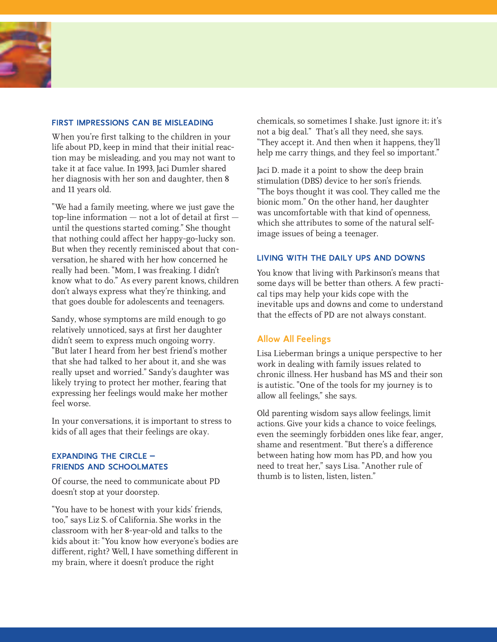

### **FIRST IMPRESSIONS CAN BE MISLEADING**

When you're first talking to the children in your life about PD, keep in mind that their initial reaction may be misleading, and you may not want to take it at face value. In 1993, Jaci Dumler shared her diagnosis with her son and daughter, then 8 and 11 years old.

"We had a family meeting, where we just gave the top-line information — not a lot of detail at first until the questions started coming." She thought that nothing could affect her happy-go-lucky son. But when they recently reminisced about that conversation, he shared with her how concerned he really had been. "Mom, I was freaking. I didn't know what to do." As every parent knows, children don't always express what they're thinking, and that goes double for adolescents and teenagers.

Sandy, whose symptoms are mild enough to go relatively unnoticed, says at first her daughter didn't seem to express much ongoing worry. "But later I heard from her best friend's mother that she had talked to her about it, and she was really upset and worried." Sandy's daughter was likely trying to protect her mother, fearing that expressing her feelings would make her mother feel worse.

In your conversations, it is important to stress to kids of all ages that their feelings are okay.

### **EXPANDING THE CIRCLE – FRIENDS AND SCHOOLMATES**

Of course, the need to communicate about PD doesn't stop at your doorstep.

"You have to be honest with your kids' friends, too," says Liz S. of California. She works in the classroom with her 8-year-old and talks to the kids about it: "You know how everyone's bodies are different, right? Well, I have something different in my brain, where it doesn't produce the right

chemicals, so sometimes I shake. Just ignore it; it's not a big deal." That's all they need, she says. "They accept it. And then when it happens, they'll help me carry things, and they feel so important."

Jaci D. made it a point to show the deep brain stimulation (DBS) device to her son's friends. "The boys thought it was cool. They called me the bionic mom." On the other hand, her daughter was uncomfortable with that kind of openness, which she attributes to some of the natural selfimage issues of being a teenager.

#### **LIVING WITH THE DAILY UPS AND DOWNS**

You know that living with Parkinson's means that some days will be better than others. A few practical tips may help your kids cope with the inevitable ups and downs and come to understand that the effects of PD are not always constant.

# **Allow All Feelings**

Lisa Lieberman brings a unique perspective to her work in dealing with family issues related to chronic illness. Her husband has MS and their son is autistic. "One of the tools for my journey is to allow all feelings," she says.

Old parenting wisdom says allow feelings, limit actions. Give your kids a chance to voice feelings, even the seemingly forbidden ones like fear, anger, shame and resentment. "But there's a difference between hating how mom has PD, and how you need to treat her," says Lisa. "Another rule of thumb is to listen, listen, listen."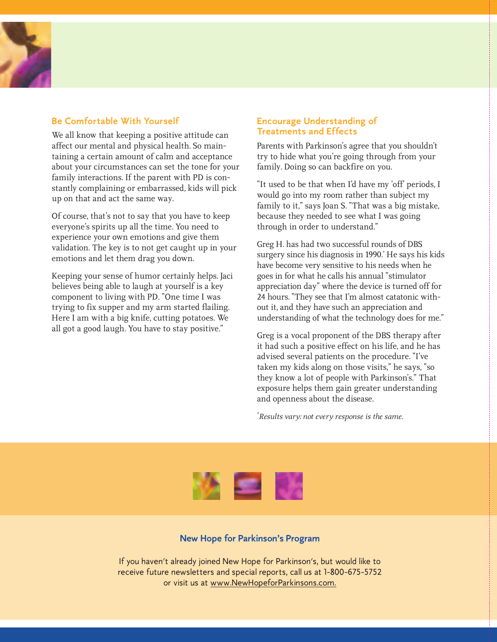# **Be Comfortable With Yourself**

We all know that keeping a positive attitude can affect our mental and physical health. So maintaining a certain amount of calm and acceptance about your circumstances can set the tone for your family interactions. If the parent with PD is constantly complaining or embarrassed, kids will pick up on that and act the same way.

Of course, that's not to say that you have to keep everyone's spirits up all the time. You need to experience your own emotions and give them validation. The key is to not get caught up in your emotions and let them drag you down.

Keeping your sense of humor certainly helps. Jaci believes being able to laugh at yourself is a key component to living with PD. "One time I was trying to fix supper and my arm started flailing. Here I am with a big knife, cutting potatoes. We all got a good laugh. You have to stay positive."

### **Encourage Understanding of Treatments and Effects**

Parents with Parkinson's agree that you shouldn't try to hide what you're going through from your family. Doing so can backfire on you.

"It used to be that when I'd have my 'off' periods, I would go into my room rather than subject my family to it," says Joan S. "That was a big mistake, because they needed to see what I was going through in order to understand."

Greg H. has had two successful rounds of DBS surgery since his diagnosis in 1990.<sup>\*</sup> He says his kids have become very sensitive to his needs when he goes in for what he calls his annual "stimulator appreciation day" where the device is turned off for 24 hours. "They see that I'm almost catatonic without it, and they have such an appreciation and understanding of what the technology does for me."

Greg is a vocal proponent of the DBS therapy after it had such a positive effect on his life, and he has advised several patients on the procedure. "I've taken my kids along on those visits," he says, "so they know a lot of people with Parkinson's." That exposure helps them gain greater understanding and openness about the disease.

\* *Results vary; not every response is the same.*



# **New Hope for Parkinson's Program**

If you haven't already joined New Hope for Parkinson's, but would like to receive future newsletters and special reports, call us at 1-800-675-5752 or visit us at www.NewHopeforParkinsons.com.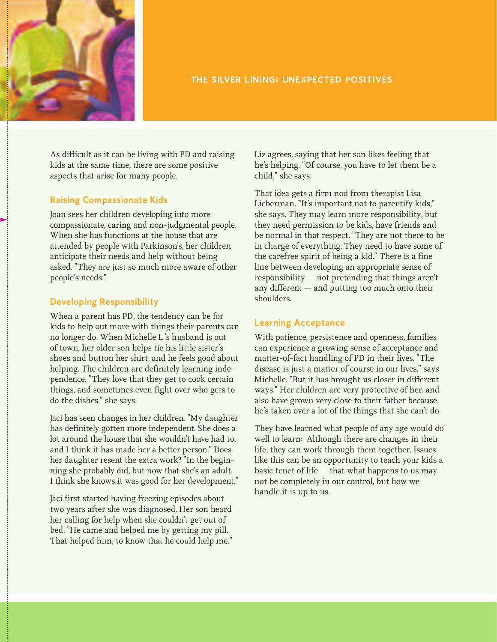

# **THE SILVER LINING: UNEXPECTED POSITIVES**

As difficult as it can be living with PD and raising kids at the same time, there are some positive aspects that arise for many people.

# **Raising Compassionate Kids**

Joan sees her children developing into more compassionate, caring and non-judgmental people. When she has functions at the house that are attended by people with Parkinson's, her children anticipate their needs and help without being asked. "They are just so much more aware of other people's needs."

# **Developing Responsibility**

When a parent has PD, the tendency can be for kids to help out more with things their parents can no longer do. When Michelle L.'s husband is out of town, her older son helps tie his little sister's shoes and button her shirt, and he feels good about helping. The children are definitely learning independence. "They love that they get to cook certain things, and sometimes even fight over who gets to do the dishes," she says.

Jaci has seen changes in her children. "My daughter has definitely gotten more independent. She does a lot around the house that she wouldn't have had to, and I think it has made her a better person." Does her daughter resent the extra work? "In the beginning she probably did, but now that she's an adult, I think she knows it was good for her development."

Jaci first started having freezing episodes about two years after she was diagnosed. Her son heard her calling for help when she couldn't get out of bed. "He came and helped me by getting my pill. That helped him, to know that he could help me."

Liz agrees, saying that her son likes feeling that he's helping. "Of course, you have to let them be a child," she says.

That idea gets a firm nod from therapist Lisa Lieberman. "It's important not to parentify kids," she says. They may learn more responsibility, but they need permission to be kids, have friends and be normal in that respect. "They are not there to be in charge of everything. They need to have some of the carefree spirit of being a kid." There is a fine line between developing an appropriate sense of responsibility — not pretending that things aren't any different — and putting too much onto their shoulders.

### **Learning Acceptance**

With patience, persistence and openness, families can experience a growing sense of acceptance and matter-of-fact handling of PD in their lives. "The disease is just a matter of course in our lives," says Michelle. "But it has brought us closer in different ways." Her children are very protective of her, and also have grown very close to their father because he's taken over a lot of the things that she can't do.

They have learned what people of any age would do well to learn: Although there are changes in their life, they can work through them together. Issues like this can be an opportunity to teach your kids a basic tenet of life — that what happens to us may not be completely in our control, but how we handle it is up to us.